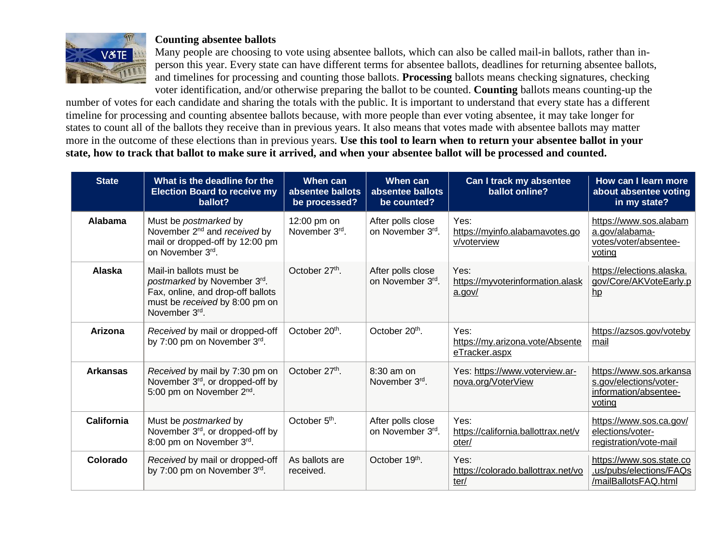

## **Counting absentee ballots**

Many people are choosing to vote using absentee ballots, which can also be called mail-in ballots, rather than inperson this year. Every state can have different terms for absentee ballots, deadlines for returning absentee ballots, and timelines for processing and counting those ballots. **Processing** ballots means checking signatures, checking voter identification, and/or otherwise preparing the ballot to be counted. **Counting** ballots means counting-up the

number of votes for each candidate and sharing the totals with the public. It is important to understand that every state has a different timeline for processing and counting absentee ballots because, with more people than ever voting absentee, it may take longer for states to count all of the ballots they receive than in previous years. It also means that votes made with absentee ballots may matter more in the outcome of these elections than in previous years. **Use this tool to learn when to return your absentee ballot in your** state, how to track that ballot to make sure it arrived, and when your absentee ballot will be processed and counted.

| <b>State</b>    | What is the deadline for the<br><b>Election Board to receive my</b><br>ballot?                                                                 | When can<br>absentee ballots<br>be processed? | When can<br>absentee ballots<br>be counted? | Can I track my absentee<br>ballot online?                | How can I learn more<br>about absentee voting<br>in my state?                        |
|-----------------|------------------------------------------------------------------------------------------------------------------------------------------------|-----------------------------------------------|---------------------------------------------|----------------------------------------------------------|--------------------------------------------------------------------------------------|
| <b>Alabama</b>  | Must be <i>postmarked</i> by<br>November 2 <sup>nd</sup> and received by<br>mail or dropped-off by 12:00 pm<br>on November 3rd.                | 12:00 pm on<br>November 3rd.                  | After polls close<br>on November 3rd.       | Yes:<br>https://myinfo.alabamavotes.go<br>v/voterview    | https://www.sos.alabam<br>a.gov/alabama-<br>votes/voter/absentee-<br>voting          |
| <b>Alaska</b>   | Mail-in ballots must be<br>postmarked by November 3rd.<br>Fax, online, and drop-off ballots<br>must be received by 8:00 pm on<br>November 3rd. | October 27th.                                 | After polls close<br>on November 3rd.       | Yes:<br>https://myvoterinformation.alask<br>a.gov/       | https://elections.alaska.<br>gov/Core/AKVoteEarly.p<br>hp                            |
| Arizona         | Received by mail or dropped-off<br>by 7:00 pm on November 3rd.                                                                                 | October 20 <sup>th</sup> .                    | October 20 <sup>th</sup> .                  | Yes:<br>https://my.arizona.vote/Absente<br>eTracker.aspx | https://azsos.gov/voteby<br>mail                                                     |
| <b>Arkansas</b> | Received by mail by 7:30 pm on<br>November 3rd, or dropped-off by<br>5:00 pm on November 2 <sup>nd</sup> .                                     | October 27th.                                 | $8:30$ am on<br>November 3 <sup>rd</sup> .  | Yes: https://www.voterview.ar-<br>nova.org/VoterView     | https://www.sos.arkansa<br>s.gov/elections/voter-<br>information/absentee-<br>voting |
| California      | Must be <i>postmarked</i> by<br>November 3 <sup>rd</sup> , or dropped-off by<br>8:00 pm on November 3rd.                                       | October 5 <sup>th</sup> .                     | After polls close<br>on November 3rd.       | Yes:<br>https://california.ballottrax.net/v<br>oter/     | https://www.sos.ca.gov/<br>elections/voter-<br>registration/vote-mail                |
| Colorado        | Received by mail or dropped-off<br>by 7:00 pm on November 3rd.                                                                                 | As ballots are<br>received.                   | October 19th.                               | Yes:<br>https://colorado.ballottrax.net/vo<br>ter/       | https://www.sos.state.co<br>.us/pubs/elections/FAQs<br>/mailBallotsFAQ.html          |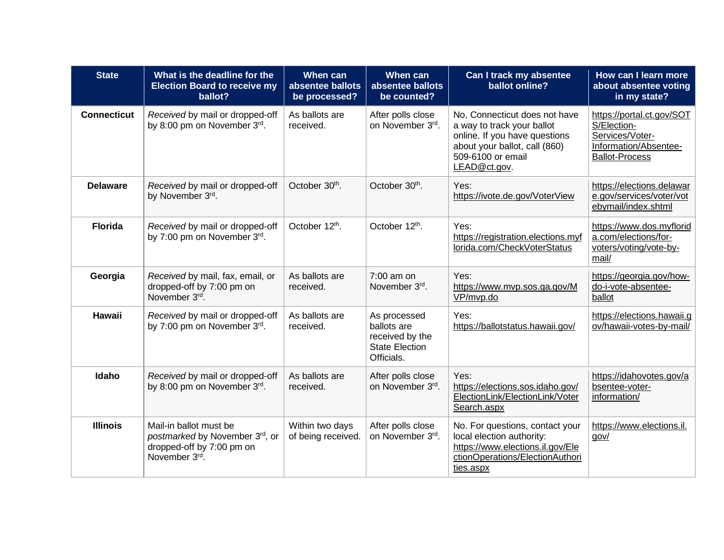| <b>State</b>       | What is the deadline for the<br><b>Election Board to receive my</b><br>ballot?                         | When can<br>absentee ballots<br>be processed? | When can<br>absentee ballots<br>be counted?                                           | Can I track my absentee<br>ballot online?                                                                                                                          | How can I learn more<br>about absentee voting<br>in my state?                                                 |
|--------------------|--------------------------------------------------------------------------------------------------------|-----------------------------------------------|---------------------------------------------------------------------------------------|--------------------------------------------------------------------------------------------------------------------------------------------------------------------|---------------------------------------------------------------------------------------------------------------|
| <b>Connecticut</b> | Received by mail or dropped-off<br>by 8:00 pm on November 3rd.                                         | As ballots are<br>received.                   | After polls close<br>on November 3rd.                                                 | No. Connecticut does not have<br>a way to track your ballot<br>online. If you have questions<br>about your ballot, call (860)<br>509-6100 or email<br>LEAD@ct.gov. | https://portal.ct.gov/SOT<br>S/Election-<br>Services/Voter-<br>Information/Absentee-<br><b>Ballot-Process</b> |
| <b>Delaware</b>    | Received by mail or dropped-off<br>by November 3rd.                                                    | October 30 <sup>th</sup> .                    | October 30 <sup>th</sup> .                                                            | Yes:<br>https://ivote.de.gov/VoterView                                                                                                                             | https://elections.delawar<br>e.gov/services/voter/vot<br>ebymail/index.shtml                                  |
| <b>Florida</b>     | Received by mail or dropped-off<br>by 7:00 pm on November 3rd.                                         | October 12 <sup>th</sup> .                    | October 12 <sup>th</sup> .                                                            | Yes:<br>https://registration.elections.myf<br>lorida.com/CheckVoterStatus                                                                                          | https://www.dos.myflorid<br>a.com/elections/for-<br>voters/voting/vote-by-<br>mail/                           |
| Georgia            | Received by mail, fax, email, or<br>dropped-off by 7:00 pm on<br>November 3rd.                         | As ballots are<br>received.                   | $7:00$ am on<br>November 3rd.                                                         | Yes:<br>https://www.mvp.sos.ga.gov/M<br>VP/mvp.do                                                                                                                  | https://georgia.gov/how-<br>do-i-vote-absentee-<br>ballot                                                     |
| <b>Hawaii</b>      | Received by mail or dropped-off<br>by 7:00 pm on November 3rd.                                         | As ballots are<br>received.                   | As processed<br>ballots are<br>received by the<br><b>State Election</b><br>Officials. | Yes:<br>https://ballotstatus.hawaii.gov/                                                                                                                           | https://elections.hawaii.g<br>ov/hawaii-votes-by-mail/                                                        |
| Idaho              | Received by mail or dropped-off<br>by 8:00 pm on November 3rd.                                         | As ballots are<br>received.                   | After polls close<br>on November 3rd.                                                 | Yes:<br>https://elections.sos.idaho.gov/<br>ElectionLink/ElectionLink/Voter<br>Search.aspx                                                                         | https://idahovotes.gov/a<br>bsentee-voter-<br>information/                                                    |
| <b>Illinois</b>    | Mail-in ballot must be<br>postmarked by November 3rd, or<br>dropped-off by 7:00 pm on<br>November 3rd. | Within two days<br>of being received.         | After polls close<br>on November 3rd.                                                 | No. For questions, contact your<br>local election authority:<br>https://www.elections.il.gov/Ele<br>ctionOperations/ElectionAuthori<br>ties.aspx                   | https://www.elections.il.<br>qov/                                                                             |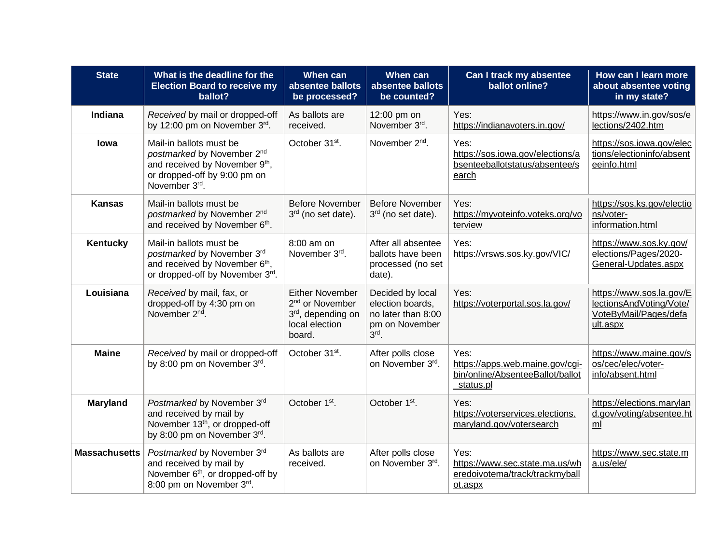| <b>State</b>         | What is the deadline for the<br><b>Election Board to receive my</b><br>ballot?                                                                      | When can<br>absentee ballots<br>be processed?                                                          | When can<br>absentee ballots<br>be counted?                                             | Can I track my absentee<br><b>ballot online?</b>                                         | How can I learn more<br>about absentee voting<br>in my state?                            |
|----------------------|-----------------------------------------------------------------------------------------------------------------------------------------------------|--------------------------------------------------------------------------------------------------------|-----------------------------------------------------------------------------------------|------------------------------------------------------------------------------------------|------------------------------------------------------------------------------------------|
| Indiana              | Received by mail or dropped-off<br>by 12:00 pm on November 3rd.                                                                                     | As ballots are<br>received.                                                                            | 12:00 pm on<br>November 3rd.                                                            | Yes:<br>https://indianavoters.in.gov/                                                    | https://www.in.gov/sos/e<br>lections/2402.htm                                            |
| lowa                 | Mail-in ballots must be<br>postmarked by November 2 <sup>nd</sup><br>and received by November 9th,<br>or dropped-off by 9:00 pm on<br>November 3rd. | October 31 <sup>st</sup> .                                                                             | November 2 <sup>nd</sup> .                                                              | Yes:<br>https://sos.iowa.gov/elections/a<br>bsenteeballotstatus/absentee/s<br>earch      | https://sos.iowa.gov/elec<br>tions/electioninfo/absent<br>eeinfo.html                    |
| <b>Kansas</b>        | Mail-in ballots must be<br>postmarked by November 2 <sup>nd</sup><br>and received by November 6th.                                                  | <b>Before November</b><br>$3rd$ (no set date).                                                         | <b>Before November</b><br>$3rd$ (no set date).                                          | Yes:<br>https://myvoteinfo.voteks.org/vo<br>terview                                      | https://sos.ks.gov/electio<br>ns/voter-<br>information.html                              |
| Kentucky             | Mail-in ballots must be<br>postmarked by November 3rd<br>and received by November 6 <sup>th</sup> ,<br>or dropped-off by November 3rd.              | 8:00 am on<br>November 3rd.                                                                            | After all absentee<br>ballots have been<br>processed (no set<br>date).                  | Yes:<br>https://vrsws.sos.ky.gov/VIC/                                                    | https://www.sos.ky.gov/<br>elections/Pages/2020-<br>General-Updates.aspx                 |
| Louisiana            | Received by mail, fax, or<br>dropped-off by 4:30 pm on<br>November 2 <sup>nd</sup> .                                                                | <b>Either November</b><br>2 <sup>nd</sup> or November<br>3rd, depending on<br>local election<br>board. | Decided by local<br>election boards,<br>no later than 8:00<br>pm on November<br>$3rd$ . | Yes:<br>https://voterportal.sos.la.gov/                                                  | https://www.sos.la.gov/E<br>lectionsAndVoting/Vote/<br>VoteByMail/Pages/defa<br>ult.aspx |
| <b>Maine</b>         | Received by mail or dropped-off<br>by 8:00 pm on November 3rd.                                                                                      | October 31 <sup>st</sup> .                                                                             | After polls close<br>on November 3rd.                                                   | Yes:<br>https://apps.web.maine.gov/cgi-<br>bin/online/AbsenteeBallot/ballot<br>status.pl | https://www.maine.gov/s<br>os/cec/elec/voter-<br>info/absent.html                        |
| <b>Maryland</b>      | Postmarked by November 3rd<br>and received by mail by<br>November 13 <sup>th</sup> , or dropped-off<br>by 8:00 pm on November 3rd.                  | October 1 <sup>st</sup> .                                                                              | October 1 <sup>st</sup> .                                                               | Yes:<br>https://voterservices.elections.<br>maryland.gov/votersearch                     | https://elections.marylan<br>d.gov/voting/absentee.ht<br>ml                              |
| <b>Massachusetts</b> | Postmarked by November 3rd<br>and received by mail by<br>November 6 <sup>th</sup> , or dropped-off by<br>8:00 pm on November 3rd.                   | As ballots are<br>received.                                                                            | After polls close<br>on November 3rd.                                                   | Yes:<br>https://www.sec.state.ma.us/wh<br>eredoivotema/track/trackmyball<br>ot.aspx      | https://www.sec.state.m<br>a.us/ele/                                                     |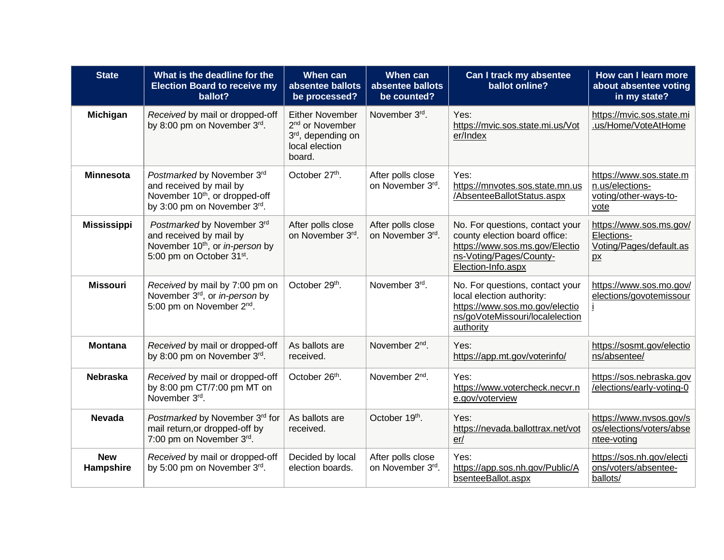| <b>State</b>            | What is the deadline for the<br><b>Election Board to receive my</b><br>ballot?                                                          | When can<br>absentee ballots<br>be processed?                                                          | When can<br>absentee ballots<br>be counted? | Can I track my absentee<br>ballot online?                                                                                                           | How can I learn more<br>about absentee voting<br>in my state?               |
|-------------------------|-----------------------------------------------------------------------------------------------------------------------------------------|--------------------------------------------------------------------------------------------------------|---------------------------------------------|-----------------------------------------------------------------------------------------------------------------------------------------------------|-----------------------------------------------------------------------------|
| Michigan                | Received by mail or dropped-off<br>by 8:00 pm on November 3rd.                                                                          | <b>Either November</b><br>2 <sup>nd</sup> or November<br>3rd, depending on<br>local election<br>board. | November 3rd.                               | Yes:<br>https://mvic.sos.state.mi.us/Vot<br>er/Index                                                                                                | https://mvic.sos.state.mi<br>.us/Home/VoteAtHome                            |
| <b>Minnesota</b>        | Postmarked by November 3rd<br>and received by mail by<br>November 10th, or dropped-off<br>by 3:00 pm on November 3rd.                   | October 27th.                                                                                          | After polls close<br>on November 3rd.       | Yes:<br>https://mnvotes.sos.state.mn.us<br>/AbsenteeBallotStatus.aspx                                                                               | https://www.sos.state.m<br>n.us/elections-<br>voting/other-ways-to-<br>vote |
| <b>Mississippi</b>      | Postmarked by November 3rd<br>and received by mail by<br>November 10 <sup>th</sup> , or <i>in-person</i> by<br>5:00 pm on October 31st. | After polls close<br>on November 3rd.                                                                  | After polls close<br>on November 3rd.       | No. For questions, contact your<br>county election board office:<br>https://www.sos.ms.gov/Electio<br>ns-Voting/Pages/County-<br>Election-Info.aspx | https://www.sos.ms.gov/<br>Elections-<br>Voting/Pages/default.as<br>px      |
| <b>Missouri</b>         | Received by mail by 7:00 pm on<br>November 3 <sup>rd</sup> , or <i>in-person</i> by<br>5:00 pm on November 2 <sup>nd</sup> .            | October 29th.                                                                                          | November 3rd.                               | No. For questions, contact your<br>local election authority:<br>https://www.sos.mo.gov/electio<br>ns/goVoteMissouri/localelection<br>authority      | https://www.sos.mo.gov/<br>elections/govotemissour                          |
| <b>Montana</b>          | Received by mail or dropped-off<br>by 8:00 pm on November 3rd.                                                                          | As ballots are<br>received.                                                                            | November 2 <sup>nd</sup> .                  | Yes:<br>https://app.mt.gov/voterinfo/                                                                                                               | https://sosmt.gov/electio<br>ns/absentee/                                   |
| <b>Nebraska</b>         | Received by mail or dropped-off<br>by 8:00 pm CT/7:00 pm MT on<br>November 3rd.                                                         | October 26th.                                                                                          | November 2 <sup>nd</sup> .                  | Yes:<br>https://www.votercheck.necvr.n<br>e.gov/voterview                                                                                           | https://sos.nebraska.gov<br>/elections/early-voting-0                       |
| <b>Nevada</b>           | Postmarked by November 3rd for<br>mail return, or dropped-off by<br>7:00 pm on November 3rd.                                            | As ballots are<br>received.                                                                            | October 19th.                               | Yes:<br>https://nevada.ballottrax.net/vot<br>er/                                                                                                    | https://www.nvsos.gov/s<br>os/elections/voters/abse<br>ntee-voting          |
| <b>New</b><br>Hampshire | Received by mail or dropped-off<br>by 5:00 pm on November 3rd.                                                                          | Decided by local<br>election boards.                                                                   | After polls close<br>on November 3rd.       | Yes:<br>https://app.sos.nh.gov/Public/A<br>bsenteeBallot.aspx                                                                                       | https://sos.nh.gov/electi<br>ons/voters/absentee-<br>ballots/               |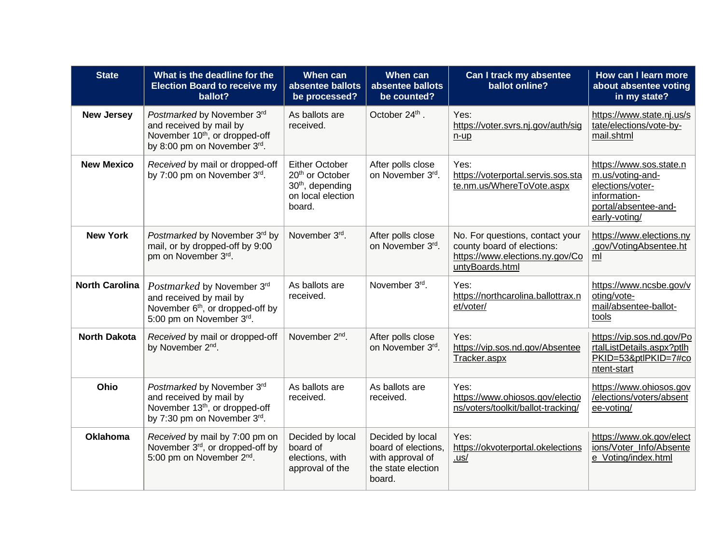| <b>State</b>          | What is the deadline for the<br><b>Election Board to receive my</b><br>ballot?                                                     | When can<br>absentee ballots<br>be processed?                                                                | When can<br>absentee ballots<br>be counted?                                                 | Can I track my absentee<br>ballot online?                                                                           | How can I learn more<br>about absentee voting<br>in my state?                                                            |
|-----------------------|------------------------------------------------------------------------------------------------------------------------------------|--------------------------------------------------------------------------------------------------------------|---------------------------------------------------------------------------------------------|---------------------------------------------------------------------------------------------------------------------|--------------------------------------------------------------------------------------------------------------------------|
| <b>New Jersey</b>     | Postmarked by November 3rd<br>and received by mail by<br>November 10 <sup>th</sup> , or dropped-off<br>by 8:00 pm on November 3rd. | As ballots are<br>received.                                                                                  | October 24th.                                                                               | Yes:<br>https://voter.svrs.nj.gov/auth/sig<br>n-up                                                                  | https://www.state.nj.us/s<br>tate/elections/vote-by-<br>mail.shtml                                                       |
| <b>New Mexico</b>     | Received by mail or dropped-off<br>by 7:00 pm on November 3rd.                                                                     | Either October<br>20 <sup>th</sup> or October<br>30 <sup>th</sup> , depending<br>on local election<br>board. | After polls close<br>on November 3rd.                                                       | Yes:<br>https://voterportal.servis.sos.sta<br>te.nm.us/WhereToVote.aspx                                             | https://www.sos.state.n<br>m.us/voting-and-<br>elections/voter-<br>information-<br>portal/absentee-and-<br>early-voting/ |
| <b>New York</b>       | Postmarked by November 3rd by<br>mail, or by dropped-off by 9:00<br>pm on November 3rd.                                            | November 3rd.                                                                                                | After polls close<br>on November 3rd.                                                       | No. For questions, contact your<br>county board of elections:<br>https://www.elections.ny.gov/Co<br>untyBoards.html | https://www.elections.ny<br>.gov/VotingAbsentee.ht<br>ml                                                                 |
| <b>North Carolina</b> | Postmarked by November 3rd<br>and received by mail by<br>November 6 <sup>th</sup> , or dropped-off by<br>5:00 pm on November 3rd.  | As ballots are<br>received.                                                                                  | November 3rd.                                                                               | Yes:<br>https://northcarolina.ballottrax.n<br>et/voter/                                                             | https://www.ncsbe.gov/v<br>oting/vote-<br>mail/absentee-ballot-<br>tools                                                 |
| <b>North Dakota</b>   | Received by mail or dropped-off<br>by November 2 <sup>nd</sup> .                                                                   | November 2 <sup>nd</sup> .                                                                                   | After polls close<br>on November 3rd.                                                       | Yes:<br>https://vip.sos.nd.gov/Absentee<br>Tracker.aspx                                                             | https://vip.sos.nd.gov/Po<br>rtalListDetails.aspx?ptlh<br>PKID=53&ptlPKID=7#co<br>ntent-start                            |
| Ohio                  | Postmarked by November 3rd<br>and received by mail by<br>November 13 <sup>th</sup> , or dropped-off<br>by 7:30 pm on November 3rd. | As ballots are<br>received.                                                                                  | As ballots are<br>received.                                                                 | Yes:<br>https://www.ohiosos.gov/electio<br>ns/voters/toolkit/ballot-tracking/                                       | https://www.ohiosos.gov<br>/elections/voters/absent<br>ee-voting/                                                        |
| <b>Oklahoma</b>       | Received by mail by 7:00 pm on<br>November 3 <sup>rd</sup> , or dropped-off by<br>5:00 pm on November 2 <sup>nd</sup> .            | Decided by local<br>board of<br>elections, with<br>approval of the                                           | Decided by local<br>board of elections.<br>with approval of<br>the state election<br>board. | Yes:<br>https://okvoterportal.okelections<br>.us/                                                                   | https://www.ok.gov/elect<br>ions/Voter Info/Absente<br>e Voting/index.html                                               |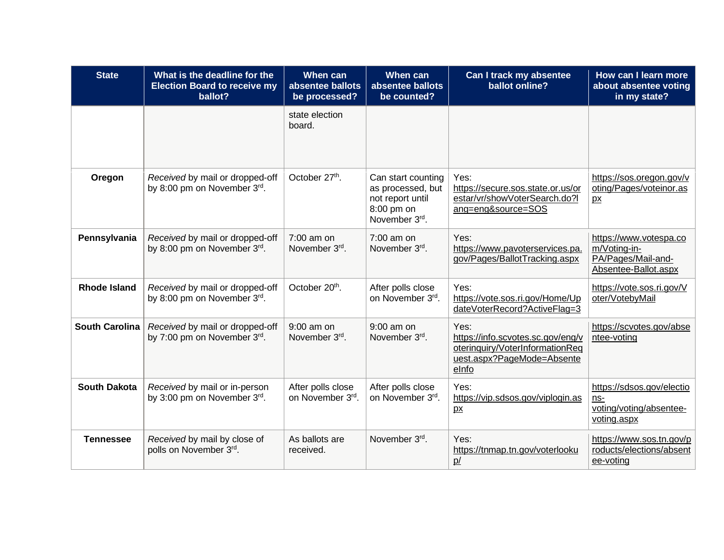| <b>State</b>          | What is the deadline for the<br><b>Election Board to receive my</b><br>ballot? | When can<br>absentee ballots<br>be processed? | When can<br>absentee ballots<br>be counted?                                                | Can I track my absentee<br>ballot online?                                                                           | How can I learn more<br>about absentee voting<br>in my state?                        |
|-----------------------|--------------------------------------------------------------------------------|-----------------------------------------------|--------------------------------------------------------------------------------------------|---------------------------------------------------------------------------------------------------------------------|--------------------------------------------------------------------------------------|
|                       |                                                                                | state election<br>board.                      |                                                                                            |                                                                                                                     |                                                                                      |
| Oregon                | Received by mail or dropped-off<br>by 8:00 pm on November 3rd.                 | October 27th.                                 | Can start counting<br>as processed, but<br>not report until<br>8:00 pm on<br>November 3rd. | Yes:<br>https://secure.sos.state.or.us/or<br>estar/vr/showVoterSearch.do?l<br>ang=eng&source=SOS                    | https://sos.oregon.gov/v<br>oting/Pages/voteinor.as<br><b>px</b>                     |
| Pennsylvania          | Received by mail or dropped-off<br>by 8:00 pm on November 3rd.                 | $7:00$ am on<br>November 3rd.                 | $7:00$ am on<br>November 3rd.                                                              | Yes:<br>https://www.pavoterservices.pa.<br>gov/Pages/BallotTracking.aspx                                            | https://www.votespa.co<br>m/Voting-in-<br>PA/Pages/Mail-and-<br>Absentee-Ballot.aspx |
| <b>Rhode Island</b>   | Received by mail or dropped-off<br>by 8:00 pm on November 3rd.                 | October 20 <sup>th</sup> .                    | After polls close<br>on November 3rd.                                                      | Yes:<br>https://vote.sos.ri.gov/Home/Up<br>dateVoterRecord?ActiveFlag=3                                             | https://vote.sos.ri.gov/V<br>oter/VotebyMail                                         |
| <b>South Carolina</b> | Received by mail or dropped-off<br>by 7:00 pm on November 3rd.                 | $9:00$ am on<br>November 3rd.                 | $9:00$ am on<br>November 3rd.                                                              | Yes:<br>https://info.scvotes.sc.gov/eng/v<br>oteringuiry/VoterInformationReg<br>uest.aspx?PageMode=Absente<br>elnfo | https://scvotes.gov/abse<br>ntee-voting                                              |
| <b>South Dakota</b>   | Received by mail or in-person<br>by 3:00 pm on November 3rd.                   | After polls close<br>on November 3rd.         | After polls close<br>on November 3rd.                                                      | Yes:<br>https://vip.sdsos.gov/viplogin.as<br>$p$ $\chi$                                                             | https://sdsos.gov/electio<br>ns-<br>voting/voting/absentee-<br>voting.aspx           |
| <b>Tennessee</b>      | Received by mail by close of<br>polls on November 3rd.                         | As ballots are<br>received.                   | November 3rd.                                                                              | Yes:<br>https://tnmap.tn.gov/voterlooku<br>p/                                                                       | https://www.sos.tn.gov/p<br>roducts/elections/absent<br>ee-voting                    |